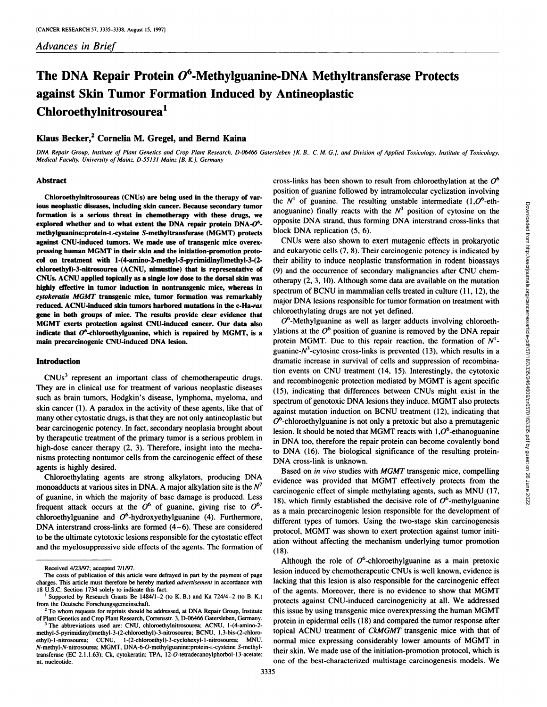# **The DNA Repair Protein 06-Methylguanine-DNA Methyltransferase Protects against Skin Tumor Formation Induced by Antineoplastic Chloroethylnitrosourea1**

## Klaus Becker,<sup>2</sup> Cornelia M. Gregel, and Bernd Kaina

DNA Repair Group, Institute of Plant Genetics and Crop Plant Research, D-06466 Gatersleben [K. B., C. M. G.], and Division of Applied Toxicology, Institute of Toxicology, *Medical Faculty, University ofMainz, D-55131 Mainz [B. K.], Germany*

#### **Abstract**

Chloroethylnitrosoureas (CNUs) are being used in the therapy of var**ions neoplastic diseases, including skin cancer. Because secondary tumor** formation is a serious threat in chemotherapy with these drugs, we explored whether and to what extent the DNA repair protein  $DNA- $O^6$$ methylguanine:protein-L-cysteine S-methyltransferase (MGMT) protects against CNU-induced tumors. We made use of transgenic mice overex pressing human MGMT in their skin and the initiation-promotion proto **col on treatment with 1-(4-amino-2-methyl-5-pyrimidlnyl)methyl-3-(2** chloroethyl)-3-nitrosourea (ACNU, nimustine) that is representative of CNUs. ACNU applied topically as a single low dose to the dorsal skin was highly effective in tumor induction in nontransgenic mice, whereas in *cylokeratin MGMT transgenic mice, tumor formation was remarkably* reduced. ACNU-induced skin tumors harbored mutations in the c-Ha-ras **gene in both groups of mice. The results provide clear evidence that MGMT exerts protection against CNU-induced cancer. Our data also** indicate that  $O^6$ -chloroethylguanine, which is repaired by MGMT, is a **main precarcinogemc CNU-induced DNA lesion.**

#### **Introduction**

CNUs<sup>3</sup> represent an important class of chemotherapeutic drugs. They are in clinical use for treatment of various neoplastic diseases such as brain tumors, Hodgkin's disease, lymphoma, myeloma, and skin cancer (1). A paradox in the activity of these agents, like that of many other cytostatic drugs, is that they are not only antineoplastic but bear carcinogenic potency. In fact, secondary neoplasia brought about by therapeutic treatment of the primary tumor is a serious problem in high-dose cancer therapy (2, 3). Therefore, insight into the mechanisms protecting nontumor cells from the carcinogenic effect of these agents is highly desired.

Chioroethylating agents are strong alkylators, producing DNA monoadducts at various sites in DNA. A major alkylation site is the  $N^7$ of guanine, in which the majority of base damage is produced. Less frequent attack occurs at the  $O^6$  of guanine, giving rise to  $O^6$ chloroethylguanine and  $O^6$ -hydroxyethylguanine (4). Furthermore, DNA interstrand cross-links are formed  $(4-6)$ . These are considered **to be the ultimate cytotoxic lesions responsible for the cytostatic effect** and the myelosuppressive side effects of the agents. The formation of

Downloaded from http://aacrjournals.org/cancerres/article-pdf/57/16/3335/2464609/cr0570163335.pdf by guest on 26 June 2022

cross-links has been shown to result from chloroethylation at the  $O^6$ position of guanine followed by intramolecular cyclization involving the  $N^1$  of guanine. The resulting unstable intermediate  $(1,0^6$ -ethopposite DNA strand, thus forming DNA interstrand cross-links that block DNA replication (5, 6).

CNUs were also shown to exert mutagenic effects in prokaryotic and eukaryotic cells (7, 8). Their carcinogenic potency is indicated by their ability to induce neoplastic transformation in rodent bioassays (9) and the occurrence of secondary malignancies after CNU chem otherapy (2, 3, 10). Although some data are available on the mutation spectrum of BCNU in mammalian cells treated in culture (11, 12), the major DNA lesions responsible for tumor formation on treatment with chloroethylating drugs are not yet defined.

and and the computer. It is examing unisate internalisate internalisate throughouts DNA strand, thus forming DNA interstrand cross-links that CNUs were also shown to exert mutagenic effects in prokaryotic CNUs were also s  $O<sup>6</sup>$ -Methylguanine as well as larger adducts involving chloroethylations at the  $O^6$  position of guanine is removed by the DNA repair protein MGMT. Due to this repair reaction, the formation of  $N<sup>1</sup>$ guanine- $N^3$ -cytosine cross-links is prevented (13), which results in a dramatic increase in survival of cells and suppression of recombina tion events on CNU treatment (14, 15). Interestingly, the cytotoxic and recombinogenic protection mediated by MGMT is agent specific (15), indicating that differences between CNUs might exist in the spectrum of genotoxic DNA lesions they induce. MGMT also protects against mutation induction on BCNU treatment (12), indicating that  $O^6$ -chloroethylguanine is not only a pretoxic but also a premutagenic lesion. It should be noted that MGMT reacts with  $1,0^6$ -ethanoguanine in DNA too, therefore the repair protein can become covalently bond to DNA (16). The biological significance of the resulting protein DNA cross-link is unknown.

Based on in vivo studies with MGMT transgenic mice, compelling evidence was provided that MGMT effectively protects from the carcinogenic effect of simple methylating agents, such as MNU (17, 18), which firmly established the decisive role of  $O^6$ -methylguanine as a main precarcinogenic lesion responsible for the development of different types of tumors. Using the two-stage skin carcinogenesis protocol, MGMT was shown to exert protection against tumor initi ation without affecting the mechanism underlying tumor promotion (18).

Although the role of  $O^6$ -chloroethylguanine as a main pretoxic lesion induced by chemotherapeutic CNUs is well known, evidence is lacking that this lesion is also responsible for the carcinogenic effect of the agents. Moreover, there is no evidence to show that MGMT protects against CNU-induced carcinogenicity at all. We addressed this issue by using transgenic mice overexpressing the human MGMT protein in epidermal cells (18) and compared the tumor response after topical ACNU treatment of CkMGMT transgenic mice with that of normal mice expressing considerably lower amounts of MGMT in their skin. We made use of the initiation-promotion protocol, which is one of the best-characterized multistage carcinogenesis models. We

Received 4/23/97; accepted 7/1/97.

The costs of publication of this article were defrayed in part by the payment of page charges. This article must therefore be hereby marked advertisement in accordance with 18 U.S.C. Section 1734 solely to indicate this fact.

**I Supported by Research Grants Be 1484/1—2 (to K. B.) and Ka 724/4—2 (to B. K.)** from the Deutsche Forschungsgemeinschaft.

**<sup>2</sup> To whom requests for reprints should be addressed, at DNA Repair Group, Institute** ofPlant Genetics and Crop Plant Research, Corrensstr. 3, D-06466 Gatersleben, Germany. **3 The abbreviations used are: CNU, chloroethylnitrosourea; ACNU, l-(4-amino-2-**

methyl-5-pynmidinyl)methyl-3-(2-chloroethyl)-3-nitrosourea; BCNU, 1,3-bis-(2-chloro ethyl)-l-nitrosourea; CCNU, l-(2-chloroethyl)-3-cyclohexyl-l-nitrosourea; MNU, N-methyl-N-nitrosourea; MGMT, DNA-6-O-methylguanine:protein-L-cysteine S-methyl transferase (EC 2.1.1.63); Ck, cytokeratin; TPA, 12-O-tetradecanoylphorbol-l3-acetate; nt, nucleotide.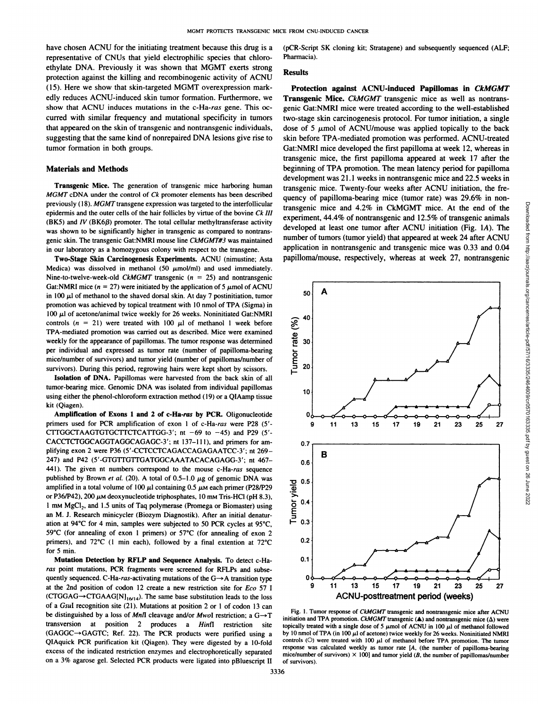have chosen ACNU for the initiating treatment because this drug is a representative of CNUs that yield electrophilic species that chloro ethylate DNA. Previously it was shown that MGMT exerts strong protection against the killing and recombinogenic activity of ACNU *(15). Here we show that skin-targeted MGMT overexpression mark* edly reduces ACNU-induced skin tumor formation. Furthermore, we show that ACNU induces mutations in the c-Ha-ras gene. This oc curred with similar frequency and mutational specificity in tumors that appeared on the skin of transgenic and nontransgenic individuals, suggesting that the same kind of nonrepaired DNA lesions give rise to tumor formation in both groups.

#### Materials and Methods

Transgenic Mice. The generation of transgenic mice harboring human *MGMT* cDNA under the control of *Ck* promoter elements has been described **previously (I 8). MGMT transgene expression was targeted to the interfollicular** epidermis and the outer cells of the hair follicles by virtue of the bovine Ck III (BK5) and  $IV$  (BK6 $\beta$ ) promoter. The total cellular methyltransferase activity was shown to be significantly higher in transgenic as compared to nontrans genic skin. The transgenic Gat:NMRI mouse line CkMGMT#3 was maintained in our laboratory as a homozygous colony with respect to the transgene.

**Two-Stage Skin Carcinogenesis Experiments.** ACNU (nimustine; Asta Medica) was dissolved in methanol (50  $\mu$ mol/ml) and used immediately. Nine-to-twelve-week-old *CkMGMT* transgenic ( $n = 25$ ) and nontransgenic Gat:NMRI mice  $(n = 27)$  were initiated by the application of 5  $\mu$  mol of ACNU in 100  $\mu$ l of methanol to the shaved dorsal skin. At day 7 postinitiation, tumor promotion was achieved by topical treatment with 10 nmol of TPA (Sigma) in  $100 \mu l$  of acetone/animal twice weekly for 26 weeks. Noninitiated Gat:NMRI controls  $(n = 21)$  were treated with 100  $\mu$ l of methanol 1 week before TPA-mediated promotion was carried out as described. Mice were examined weekly for the appearance of papillomas. The tumor response was determined per individual and expressed as tumor rate (number of papilloma-bearing mice/number of survivors) and tumor yield (number of papillomas/number of survivors). During this period, regrowing hairs were kept short by scissors.

Isolation of DNA. Papillomas were harvested from the back skin of all tumor-bearing mice. Genomic DNA was isolated from individual papillomas using either the phenol-chloroform extraction method (19) or a QIAamp tissue kit (Qiagen).

**Amplification of Exons 1 and 2 of c-Ha-rae by PCR. Oligonucleotide** primers used for PCR amplification of exon 1 of c-Ha-ras were P28 (5'-CTTGGCTAAGTGTGCTTCTCATTGG-3'; nt  $-69$  to  $-45$ ) and P29 (5'-CACCTCTGGCAGGTAGGCAGAGC-3'; nt 137-111), and primers for am-<br>0.7 plifying exon 2 were P36 (5'-CCTCCTCAGACCAGAGAATCC-3'; nt 269-247) and P42 (5'-GTGTTGTTGATGGCAAATACACAGAGG-3'; nt 467-441). The given nt numbers correspond to the mouse c-Ha-ras sequence published by Brown et al. (20). A total of  $0.5-1.0 \mu$ g of genomic DNA was amplified in a total volume of 100  $\mu$ l containing 0.5  $\mu$ M each primer (P28/P29 or P36/P42), 200  $\mu$ M deoxynucleotide triphosphates, 10 mM Tris-HCl (pH 8.3), 1 mm MgCl<sub>2</sub>, and 1.5 units of Taq polymerase (Promega or Biomaster) using an M. J. Research minicycler (Biozym Diagnostik). After an initial denatur ation at 94°C for 4 min, samples were subjected to 50 PCR cycles at 95°C, 59°C (for annealing of exon 1 primers) or 57°C (for annealing of exon 2<br>primers) and  $72^{\circ}$ C (1 min each) followed by a final extension at  $72^{\circ}$ C 0.2 primers), and  $72^{\circ}$ C (1 min each), followed by a final extention at  $72^{\circ}$ C for 5 min.

Mutation Detection by RFLP and Sequence Analysis. To detect c-Ha **ras point mutations, PCR fragments were screened for RFLPs and subse** quently sequenced. C-Ha-ras-activating mutations of the  $G \rightarrow A$  transition type at the 2nd position of codon 12 create a new restriction site for Eco 57 I  $(CTGGAG \rightarrow CTGAAG[N]_{16/14})$ . The same base substitution leads to the loss of a GsuI recognition site (21). Mutations at position 2 or I of codon 13 can be distinguished by a loss of MnII cleavage and/or MwoI restriction; a  $G \rightarrow T$ transversion at position 2 produces a Hinfl restriction site **(GAGGC—\*GAGTC; Ref.22). The PCR products were purified using a** QlAquick PCR purification kit (Qiagen). They were digested by a 10-fold excess of the indicated restriction enzymes and electrophoretically separated on a 3% agarose gel. Selected PCR products were ligated into pBluescript II (pCR-Script 5K cloning kit; Stratagene) and subsequently sequenced (ALF; Pharmacia).

### **Results**

Protection against ACNU-induced Papillomas in CkMGMT Transgenic Mice. CkMGMT transgenic mice as well as nontransgenic Gat:NMRI mice were treated according to the well-established two-stage skin carcinogenesis protocol. For tumor initiation, a single dose of 5  $\mu$ mol of ACNU/mouse was applied topically to the back skin before TPA-mediated promotion was performed. ACNU-treated Gat:NMRI mice developed the first papilloma at week 12, whereas in transgenic mice, the first papilloma appeared at week 17 after the beginning of TPA promotion. The mean latency period for papilloma development was 21.1 weeks in nontransgenic mice and 22.5 weeks in transgenic mice. Twenty-four weeks after ACNU initiation, the fre transgenic mice and 4.2% in CkMGMT mice. At the end of the experiment, 44.4% of nontransgenic and 12.5% of transgenic animals developed at least one tumor after ACNU initiation (Fig. lA). The number of tumors (tumor yield) that appeared at week 24 after ACNU application in nontransgenic and transgenic mice was 0.33 and 0.04 papilloma/mouse, respectively, whereas at week 27, nontransgenic



Fig. 1. Tumor response of CkMGMT transgenic and nontransgenic mice after ACNU initiation and TPA promotion. CkMGMT transgenic ( $\triangle$ ) and nontransgenic mice ( $\Delta$ ) were topically treated with a single dose of 5  $\mu$ mol of ACNU in 100  $\mu$ l of methanol followed by 10 nmol of TPA (in 100  $\mu$ l of acetone) twice weekly for 26 weeks. Noninitiated NMRI controls  $(O)$  were treated with 100  $\mu$ l of methanol before TPA promotion. The tumor response was calculated weekly as tumor rate [A, (the number of papilloma-bearing mice/number of survivors)  $\times$  100] and tumor yield (B, the number of papillomas/number **of survivors).**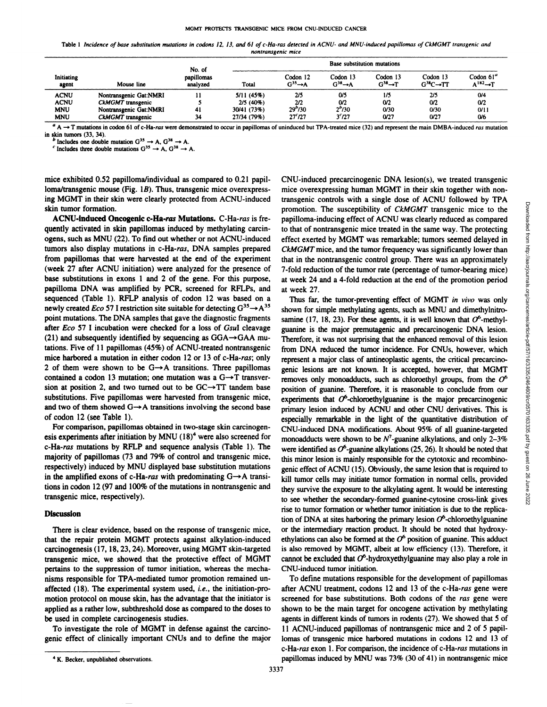Table 1 Incidence of base substitution mutations in codons 12, 13, and 61 of c-Ha-ras detected in ACNU- and MNU-induced papillomas of CkMGMT transgenic and *nontransgenic mice*

| Initiating<br>agent | Mouse line             | No. of<br>papillomas<br>analyzed | Base substitution mutations |                                    |                                    |                                    |                                      |                                      |
|---------------------|------------------------|----------------------------------|-----------------------------|------------------------------------|------------------------------------|------------------------------------|--------------------------------------|--------------------------------------|
|                     |                        |                                  | Total                       | Codon 12<br>$G^{35} \rightarrow A$ | Codon 13<br>$G^{38} \rightarrow A$ | Codon 13<br>$G^{38} \rightarrow T$ | Codon 13<br>$G^{38}C \rightarrow TT$ | Codon 61"<br>$A^{182} \rightarrow T$ |
| <b>ACNU</b>         | Nontransgenic Gat:NMRI |                                  | 5/11(45%)                   | 2/5                                | $\omega$                           | 1/5                                | 2/5                                  | 0/4                                  |
| <b>ACNU</b>         | CkMGMT transgenic      |                                  | $2/5(40\%)$                 | 2n                                 | 0/2                                | O/2                                | 0/2                                  | 0/2                                  |
| <b>MNU</b>          | Nontransgenic Gat:NMRI | -41                              | 30/41 (73%)                 | $29^{b}/30$                        | 2°/30                              | 0/30                               | 0/30                                 | 0/11                                 |
| <b>MNU</b>          | CkMGMT transgenic      | 34                               | 27/34 (79%)                 | $27c$ $/27$                        | 3 <sub>727</sub>                   | 0/27                               | 0/27                                 | <b>O/6</b>                           |

 $a \rightarrow T$  mutations in codon 61 of c-Ha-ras were demonstrated to occur in papillomas of uninduced but TPA-treated mice (32) and represent the main DMBA-induced ras mutation **in skin tumors (33, 34).**

*I* **Includes** one **double** mutation  $G^{35} \rightarrow A$ ,  $G^{38} \rightarrow A$ .

 $\frac{C}{C}$  **Includes** three double mutations  $G^{35} \rightarrow A$ ,  $G^{38} \rightarrow A$ .

mice exhibited 0.52 papilloma/individual as compared to 0.21 papil loma/transgenic mouse (Fig. 1B). Thus, transgenic mice overexpress**ing MGMT in their skin were clearly protected from ACNU-induced** skin tumor formation.

ACNU-induced Oncogenic c-Ha-ras Mutations. C-Ha-ras is frequently activated in skin papillomas induced by methylating carcinogens, such as MNU (22). To find out whether or not ACNU-induced tumors also display mutations in c-Ha-ras, DNA samples prepared **from papillomas that were harvested at the end of the experiment** (week 27 after ACNU initiation) were analyzed for the presence of base substitutions in exons 1 and 2 of the gene. For this purpose, papilloma DNA was amplified by PCR, screened for RFLPs, and **sequenced (Table 1). RFLP analysis of codon 12 was based on a** newly created *Eco* 57 I restriction site suitable for detecting  $G^{35} \rightarrow A^{35}$ point mutations. The DNA samples that gave the diagnostic fragments after Eco 57 I incubation were checked for a loss of GsuI cleavage (21) and subsequently identified by sequencing as  $GGA \rightarrow GAA$  mutations. Five of 11 papillomas (45%) of ACNU-treated nontransgenic mice harbored a mutation in either codon 12 or 13 of c-Ha-ras; only 2 of them were shown to be  $G \rightarrow A$  transitions. Three papillomas contained a codon 13 mutation; one mutation was a  $G \rightarrow T$  transver- $\sin$  **at position** 2, and **two turned** out to be  $\text{GC} \rightarrow \text{TT}$  **tandem** base substitutions. Five papillomas were harvested from transgenic mice, and two of them showed  $G \rightarrow A$  transitions involving the second base of codon 12 (see Table 1).

**For comparison, papillomas obtained in two-stage skin carcinogen** esis experiments after initiation by MNU  $(18)^4$  were also screened for c-Ha-ras mutations by RFLP and sequence analysis (Table 1). The majority of papillomas (73 and 79% of control and transgenic mice, respectively) induced by MNU displayed base substitution mutations in the amplified exons of c-Ha-ras with predominating  $G \rightarrow A$  transi**tions in codon 12 (97 and 100% of the mutations in nontransgenic and** transgenic mice, respectively).

#### Discussion

**There is clear evidence, based on the response of transgenic mice, that the repair protein MGMT protects against alkylation-induced** carcinogenesis (17, 18, 23, 24). Moreover, using MGMT skin-targeted transgenic mice, we showed that the protective effect of MGMT pertains to the suppression of tumor initiation, whereas the mecha nisms responsible for TPA-mediated tumor promotion remained un affected (18). The experimental system used, i.e., the initiation-pro motion protocol on mouse skin, has the advantage that the initiator is applied as a rather low, subthreshold dose as compared to the doses to be used in complete carcinogenesis studies.

**To investigate the role of MGMT in defense against the carcino** genic effect of clinically important CNUs and to define the major CNU-induced precarcinogenic DNA lesion(s), we treated transgenic mice overexpressing human MGMT in their skin together with non promotion. The susceptibility of CkMGMT transgenic mice to the papilloma-inducing effect of ACNU was clearly reduced as compared to that of nontransgenic mice treated in the same way. The protecting effect exerted by MGMT was remarkable; tumors seemed delayed in *CkMGMT mice, and the tumor frequency was significantly lower than* that in the nontransgenic control group. There was an approximately 7-fold reduction of the tumor rate (percentage of tumor-bearing mice) at week 24 and a 4-fold reduction at the end of the promotion period at week 27.

transgenic controls with a single dose of ACNU followed by TPA<br>papilloma-inducing effect of ACNU was clearly reduced as compared<br>of papilloma-inducing effect of ACNU was clearly reduced as compared<br>of that of nontransgeni Thus far, the tumor-preventing effect of MGMT in vivo was only shown for simple methylating agents, such as MNU and dimethylnitro samine (17, 18, 23). For these agents, it is well known that  $O^6$ -methylguanine is the major premutagenic and precarcinogenic DNA lesion. Therefore, it was not surprising that the enhanced removal of this lesion from DNA reduced the tumor incidence. For CNUs, however, which represent a major class of antineoplastic agents, the critical precarcino genic lesions are not known. It is accepted, however, that MGMT **removes** only monoadducts, such as chloroethyl groups, from the  $O^6$ position of guanine. Therefore, it is reasonable to conclude from our experiments that  $O^6$ -chloroethylguanine is the major precarcinogenic primary lesion induced by ACNU and other CNU derivatives. This is especially remarkable in the light of the quantitative distribution of CNU-induced DNA modifications. About 95% of all guanine-targeted monoadducts were shown to be  $N^7$ -guanine alkylations, and only 2–3% were identified as  $O^6$ -guanine alkylations (25, 26). It should be noted that this minor lesion is mainly responsible for the cytotoxic and recombino genic effect of ACNU (15). Obviously, the same lesion that is required to kill tumor cells may initiate tumor formation in normal cells, provided they survive the exposure to the alkylating agent. It would be interesting to see whether the secondary-formed guanine-cytosine cross-link gives rise to tumor formation or whether tumor initiation is due to the replica tion of DNA at sites harboring the primary lesion  $O^6$ -chloroethylguanine **or the intermediary reaction product. It should be noted that hydroxy** ethylations can also be formed at the  $O^6$  position of guanine. This adduct is also removed by MGMT, albeit at low efficiency (13). Therefore, it cannot be excluded that  $O^6$ -hydroxyethylguanine may also play a role in **CNU-induced tumor initiation.**

**To define mutations responsible for the development of papillomas** after ACNU treatment, codons 12 and 13 of the c-Ha-ras gene were screened for base substitutions. Both codons of the ras gene were **shown to be the main target for oncogene activation by methylating** agents in different kinds of tumors in rodents (27). We showed that 5 of 11 ACNU-induced papillomas of nontransgenic mice and 2 of 5 papil lomas of transgenic mice harbored mutations in codons 12 and 13 of **c-Ha-ras exon 1. For comparison, the incidence of c-Ha-ras mutations in** *<sup>4</sup> K. Becker, unpublished observations.* papillomas induced by MNU was 73% (30 of 41) in nontransgenic mice